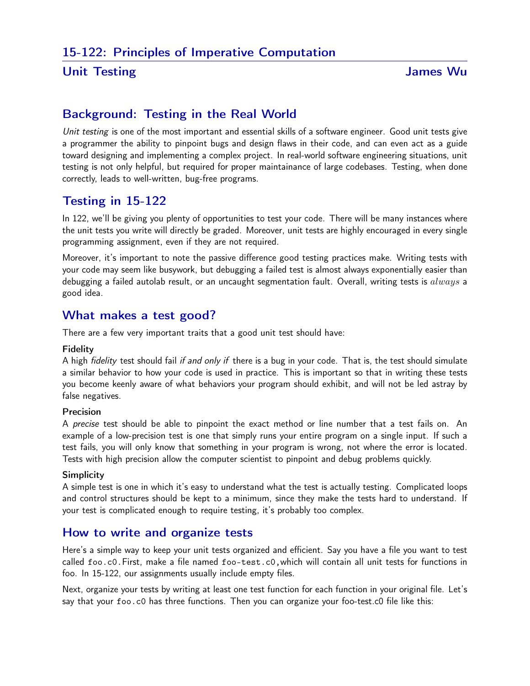### Unit Testing James Wu

# Background: Testing in the Real World

Unit testing is one of the most important and essential skills of a software engineer. Good unit tests give a programmer the ability to pinpoint bugs and design flaws in their code, and can even act as a guide toward designing and implementing a complex project. In real-world software engineering situations, unit testing is not only helpful, but required for proper maintainance of large codebases. Testing, when done correctly, leads to well-written, bug-free programs.

# Testing in 15-122

In 122, we'll be giving you plenty of opportunities to test your code. There will be many instances where the unit tests you write will directly be graded. Moreover, unit tests are highly encouraged in every single programming assignment, even if they are not required.

Moreover, it's important to note the passive difference good testing practices make. Writing tests with your code may seem like busywork, but debugging a failed test is almost always exponentially easier than debugging a failed autolab result, or an uncaught segmentation fault. Overall, writing tests is  $always$  a good idea.

## What makes a test good?

There are a few very important traits that a good unit test should have:

#### Fidelity

A high *fidelity* test should fail *if and only if* there is a bug in your code. That is, the test should simulate a similar behavior to how your code is used in practice. This is important so that in writing these tests you become keenly aware of what behaviors your program should exhibit, and will not be led astray by false negatives.

#### Precision

A precise test should be able to pinpoint the exact method or line number that a test fails on. An example of a low-precision test is one that simply runs your entire program on a single input. If such a test fails, you will only know that something in your program is wrong, not where the error is located. Tests with high precision allow the computer scientist to pinpoint and debug problems quickly.

#### **Simplicity**

A simple test is one in which it's easy to understand what the test is actually testing. Complicated loops and control structures should be kept to a minimum, since they make the tests hard to understand. If your test is complicated enough to require testing, it's probably too complex.

## How to write and organize tests

Here's a simple way to keep your unit tests organized and efficient. Say you have a file you want to test called foo.c0.First, make a file named foo-test.c0,which will contain all unit tests for functions in foo. In 15-122, our assignments usually include empty files.

Next, organize your tests by writing at least one test function for each function in your original file. Let's say that your foo.c0 has three functions. Then you can organize your foo-test.c0 file like this: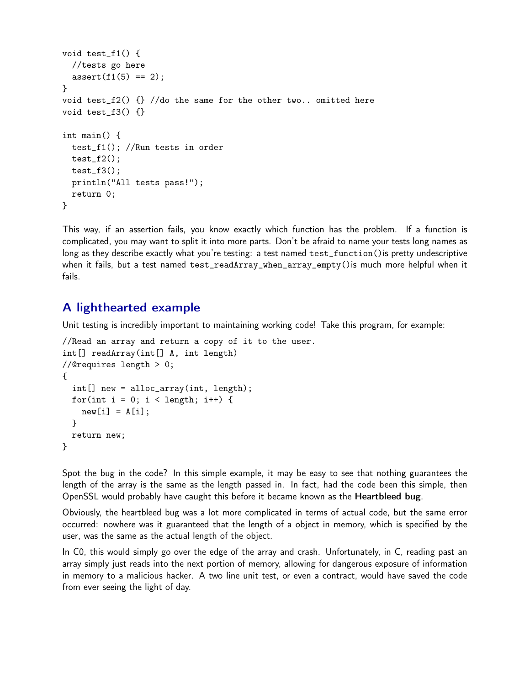```
void test_f1() {
  //tests go here
  assert(f1(5) == 2);}
void test_f2() \{ \} //do the same for the other two.. omitted here
void test_f3() {}
int main() {
  test_f1(); //Run tests in order
  test_f2();
  test_f3();
 println("All tests pass!");
  return 0;
}
```
This way, if an assertion fails, you know exactly which function has the problem. If a function is complicated, you may want to split it into more parts. Don't be afraid to name your tests long names as long as they describe exactly what you're testing: a test named test\_function() is pretty undescriptive when it fails, but a test named test\_readArray\_when\_array\_empty()is much more helpful when it fails.

## A lighthearted example

Unit testing is incredibly important to maintaining working code! Take this program, for example:

```
//Read an array and return a copy of it to the user.
int[] readArray(int[] A, int length)
//@requires length > 0;
{
  int[] new = alloc_array(int, length);
  for(int i = 0; i < length; i++) {
   new[i] = A[i];}
 return new;
}
```
Spot the bug in the code? In this simple example, it may be easy to see that nothing guarantees the length of the array is the same as the length passed in. In fact, had the code been this simple, then OpenSSL would probably have caught this before it became known as the Heartbleed bug.

Obviously, the heartbleed bug was a lot more complicated in terms of actual code, but the same error occurred: nowhere was it guaranteed that the length of a object in memory, which is specified by the user, was the same as the actual length of the object.

In C0, this would simply go over the edge of the array and crash. Unfortunately, in C, reading past an array simply just reads into the next portion of memory, allowing for dangerous exposure of information in memory to a malicious hacker. A two line unit test, or even a contract, would have saved the code from ever seeing the light of day.